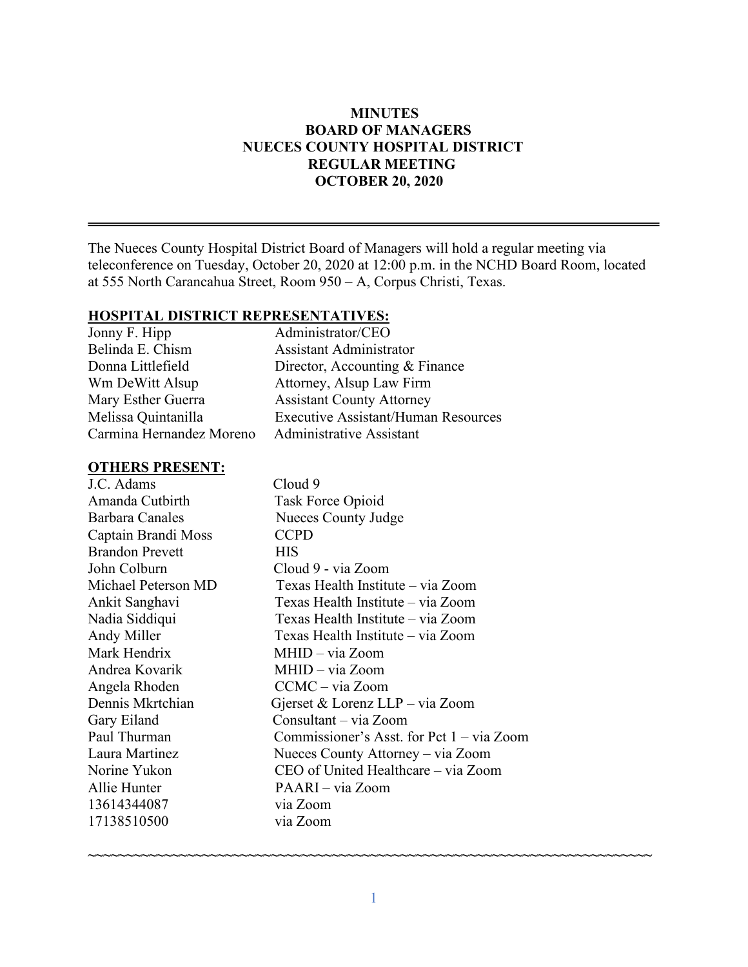### **MINUTES BOARD OF MANAGERS NUECES COUNTY HOSPITAL DISTRICT REGULAR MEETING OCTOBER 20, 2020**

The Nueces County Hospital District Board of Managers will hold a regular meeting via teleconference on Tuesday, October 20, 2020 at 12:00 p.m. in the NCHD Board Room, located at 555 North Carancahua Street, Room 950 – A, Corpus Christi, Texas.

#### **HOSPITAL DISTRICT REPRESENTATIVES:**

| Administrator/CEO                          |
|--------------------------------------------|
| <b>Assistant Administrator</b>             |
| Director, Accounting & Finance             |
| Attorney, Alsup Law Firm                   |
| <b>Assistant County Attorney</b>           |
| <b>Executive Assistant/Human Resources</b> |
| <b>Administrative Assistant</b>            |
|                                            |

#### **OTHERS PRESENT:**

J.C. Adams Cloud 9 Amanda Cutbirth Task Force Opioid Barbara Canales Nueces County Judge Captain Brandi Moss CCPD Brandon Prevett HIS John Colburn Cloud 9 - via Zoom Michael Peterson MD Texas Health Institute – via Zoom Ankit Sanghavi Texas Health Institute – via Zoom Nadia Siddiqui Texas Health Institute – via Zoom Andy Miller Texas Health Institute – via Zoom Mark Hendrix MHID – via Zoom Andrea Kovarik MHID – via Zoom Angela Rhoden CCMC – via Zoom Dennis Mkrtchian Gjerset & Lorenz LLP – via Zoom Gary Eiland Consultant – via Zoom Paul Thurman Commissioner's Asst. for Pct 1 – via Zoom Laura Martinez Nueces County Attorney – via Zoom Norine Yukon CEO of United Healthcare – via Zoom Allie Hunter PAARI – via Zoom 13614344087 via Zoom 17138510500 via Zoom

**~~~~~~~~~~~~~~~~~~~~~~~~~~~~~~~~~~~~~~~~~~~~~~~~~~~~~~~~~~~~~~~~~~~~~~~~~~**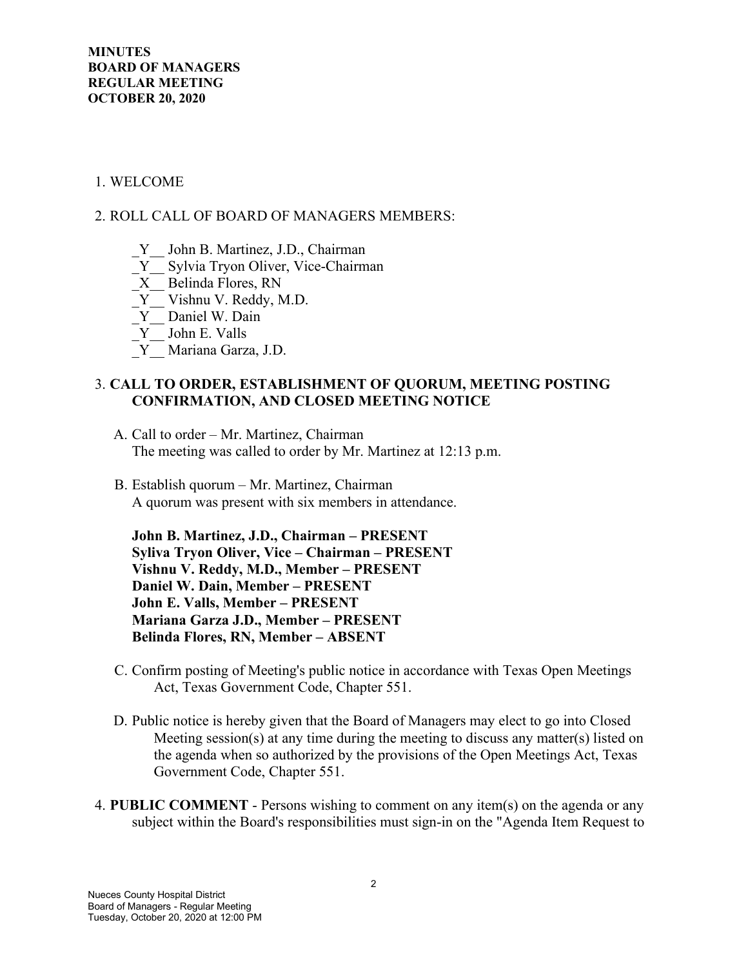### 1. WELCOME

### 2. ROLL CALL OF BOARD OF MANAGERS MEMBERS:

- \_Y\_\_ John B. Martinez, J.D., Chairman
- Y Sylvia Tryon Oliver, Vice-Chairman
- \_X\_\_ Belinda Flores, RN
- \_Y\_\_ Vishnu V. Reddy, M.D.
- Y Daniel W. Dain
- $Y$  John E. Valls
- \_Y\_\_ Mariana Garza, J.D.

### 3. **CALL TO ORDER, ESTABLISHMENT OF QUORUM, MEETING POSTING CONFIRMATION, AND CLOSED MEETING NOTICE**

- A. Call to order Mr. Martinez, Chairman The meeting was called to order by Mr. Martinez at 12:13 p.m.
- B. Establish quorum Mr. Martinez, Chairman A quorum was present with six members in attendance.

**John B. Martinez, J.D., Chairman – PRESENT Syliva Tryon Oliver, Vice – Chairman – PRESENT Vishnu V. Reddy, M.D., Member – PRESENT Daniel W. Dain, Member – PRESENT John E. Valls, Member – PRESENT Mariana Garza J.D., Member – PRESENT Belinda Flores, RN, Member – ABSENT**

- C. Confirm posting of Meeting's public notice in accordance with Texas Open Meetings Act, Texas Government Code, Chapter 551.
- D. Public notice is hereby given that the Board of Managers may elect to go into Closed Meeting session(s) at any time during the meeting to discuss any matter(s) listed on the agenda when so authorized by the provisions of the Open Meetings Act, Texas Government Code, Chapter 551.
- 4. **PUBLIC COMMENT** Persons wishing to comment on any item(s) on the agenda or any subject within the Board's responsibilities must sign-in on the "Agenda Item Request to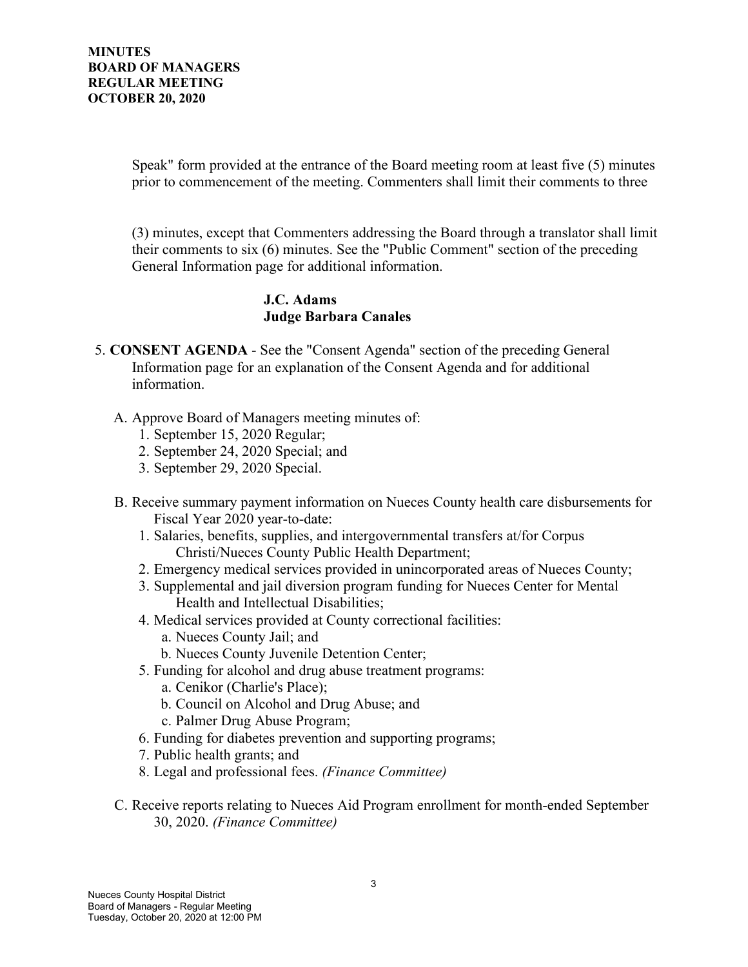Speak" form provided at the entrance of the Board meeting room at least five (5) minutes prior to commencement of the meeting. Commenters shall limit their comments to three

(3) minutes, except that Commenters addressing the Board through a translator shall limit their comments to six (6) minutes. See the "Public Comment" section of the preceding General Information page for additional information.

### **J.C. Adams Judge Barbara Canales**

- 5. **CONSENT AGENDA** See the "Consent Agenda" section of the preceding General Information page for an explanation of the Consent Agenda and for additional information.
	- A. Approve Board of Managers meeting minutes of:
		- 1. September 15, 2020 Regular;
		- 2. September 24, 2020 Special; and
		- 3. September 29, 2020 Special.
	- B. Receive summary payment information on Nueces County health care disbursements for Fiscal Year 2020 year-to-date:
		- 1. Salaries, benefits, supplies, and intergovernmental transfers at/for Corpus Christi/Nueces County Public Health Department;
		- 2. Emergency medical services provided in unincorporated areas of Nueces County;
		- 3. Supplemental and jail diversion program funding for Nueces Center for Mental Health and Intellectual Disabilities;
		- 4. Medical services provided at County correctional facilities:
			- a. Nueces County Jail; and
			- b. Nueces County Juvenile Detention Center;
		- 5. Funding for alcohol and drug abuse treatment programs:
			- a. Cenikor (Charlie's Place);
			- b. Council on Alcohol and Drug Abuse; and
			- c. Palmer Drug Abuse Program;
		- 6. Funding for diabetes prevention and supporting programs;
		- 7. Public health grants; and
		- 8. Legal and professional fees. *(Finance Committee)*
	- C. Receive reports relating to Nueces Aid Program enrollment for month-ended September 30, 2020. *(Finance Committee)*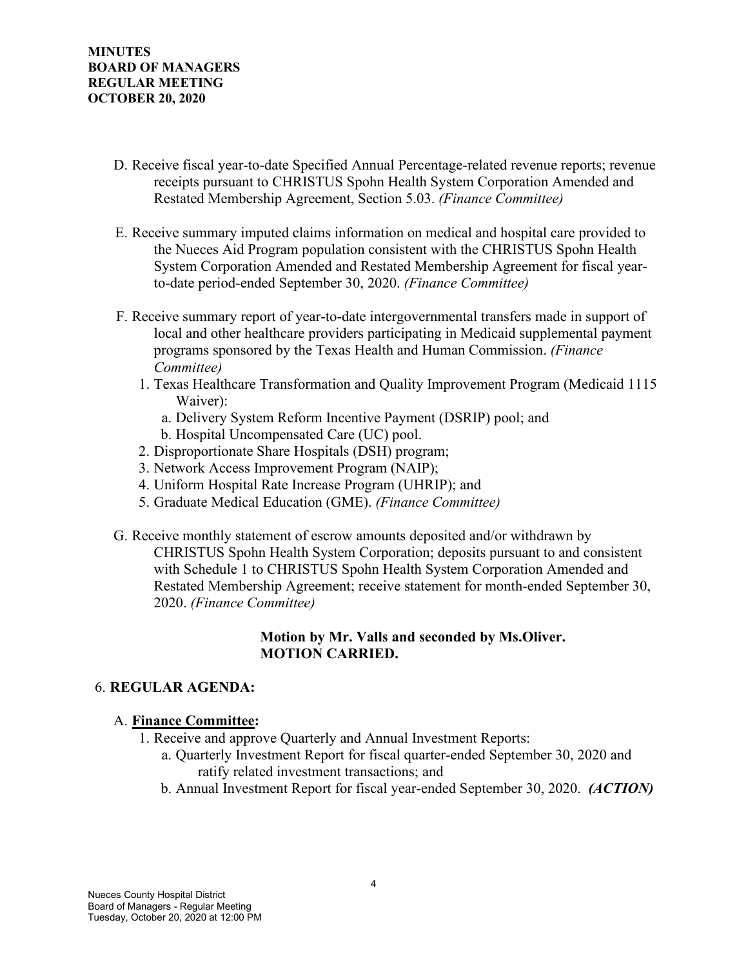- D. Receive fiscal year-to-date Specified Annual Percentage-related revenue reports; revenue receipts pursuant to CHRISTUS Spohn Health System Corporation Amended and Restated Membership Agreement, Section 5.03. *(Finance Committee)*
- E. Receive summary imputed claims information on medical and hospital care provided to the Nueces Aid Program population consistent with the CHRISTUS Spohn Health System Corporation Amended and Restated Membership Agreement for fiscal yearto-date period-ended September 30, 2020. *(Finance Committee)*
- F. Receive summary report of year-to-date intergovernmental transfers made in support of local and other healthcare providers participating in Medicaid supplemental payment programs sponsored by the Texas Health and Human Commission. *(Finance Committee)*
	- 1. Texas Healthcare Transformation and Quality Improvement Program (Medicaid 1115 Waiver):
		- a. Delivery System Reform Incentive Payment (DSRIP) pool; and
		- b. Hospital Uncompensated Care (UC) pool.
	- 2. Disproportionate Share Hospitals (DSH) program;
	- 3. Network Access Improvement Program (NAIP);
	- 4. Uniform Hospital Rate Increase Program (UHRIP); and
	- 5. Graduate Medical Education (GME). *(Finance Committee)*
- G. Receive monthly statement of escrow amounts deposited and/or withdrawn by CHRISTUS Spohn Health System Corporation; deposits pursuant to and consistent with Schedule 1 to CHRISTUS Spohn Health System Corporation Amended and Restated Membership Agreement; receive statement for month-ended September 30, 2020. *(Finance Committee)*

### **Motion by Mr. Valls and seconded by Ms.Oliver. MOTION CARRIED.**

## 6. **REGULAR AGENDA:**

## A. **Finance Committee:**

- 1. Receive and approve Quarterly and Annual Investment Reports:
	- a. Quarterly Investment Report for fiscal quarter-ended September 30, 2020 and ratify related investment transactions; and
	- b. Annual Investment Report for fiscal year-ended September 30, 2020. *(ACTION)*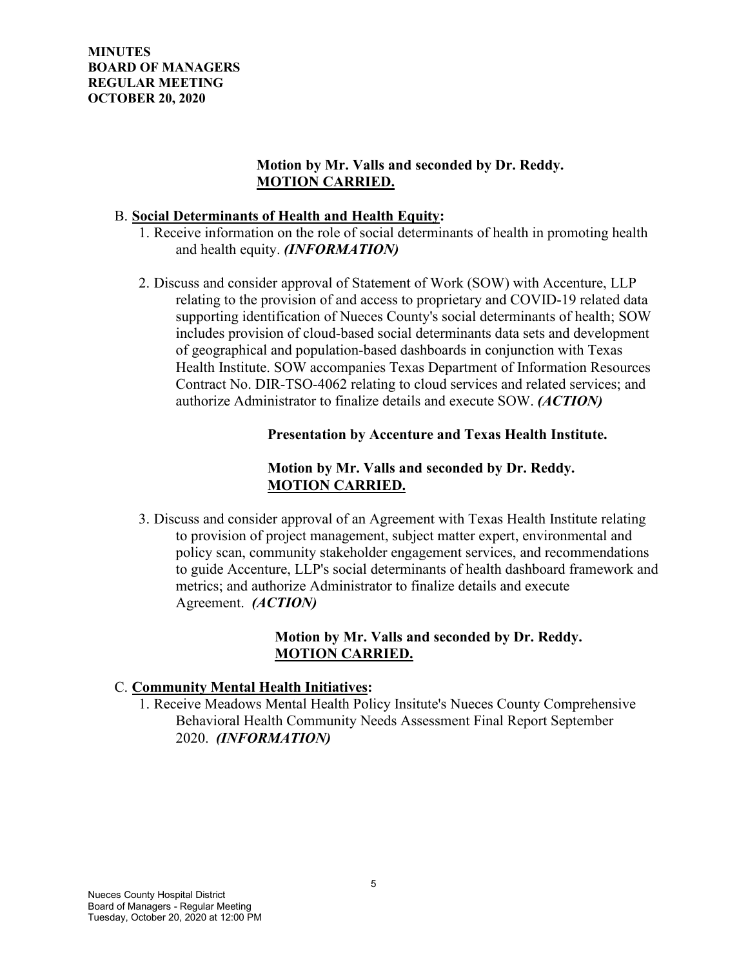**MINUTES BOARD OF MANAGERS REGULAR MEETING OCTOBER 20, 2020**

### **Motion by Mr. Valls and seconded by Dr. Reddy. MOTION CARRIED.**

#### B. **Social Determinants of Health and Health Equity:**

- 1. Receive information on the role of social determinants of health in promoting health and health equity. *(INFORMATION)*
- 2. Discuss and consider approval of Statement of Work (SOW) with Accenture, LLP relating to the provision of and access to proprietary and COVID-19 related data supporting identification of Nueces County's social determinants of health; SOW includes provision of cloud-based social determinants data sets and development of geographical and population-based dashboards in conjunction with Texas Health Institute. SOW accompanies Texas Department of Information Resources Contract No. DIR-TSO-4062 relating to cloud services and related services; and authorize Administrator to finalize details and execute SOW. *(ACTION)*

#### **Presentation by Accenture and Texas Health Institute.**

## **Motion by Mr. Valls and seconded by Dr. Reddy. MOTION CARRIED.**

3. Discuss and consider approval of an Agreement with Texas Health Institute relating to provision of project management, subject matter expert, environmental and policy scan, community stakeholder engagement services, and recommendations to guide Accenture, LLP's social determinants of health dashboard framework and metrics; and authorize Administrator to finalize details and execute Agreement. *(ACTION)*

## **Motion by Mr. Valls and seconded by Dr. Reddy. MOTION CARRIED.**

## C. **Community Mental Health Initiatives:**

1. Receive Meadows Mental Health Policy Insitute's Nueces County Comprehensive Behavioral Health Community Needs Assessment Final Report September 2020. *(INFORMATION)*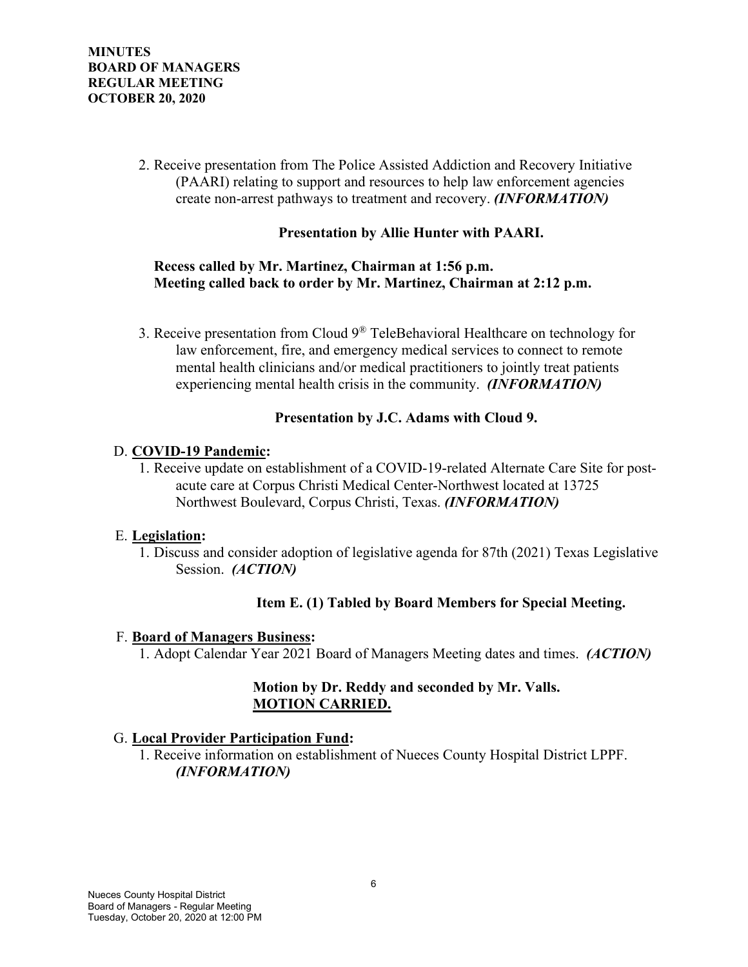2. Receive presentation from The Police Assisted Addiction and Recovery Initiative (PAARI) relating to support and resources to help law enforcement agencies create non-arrest pathways to treatment and recovery. *(INFORMATION)*

### **Presentation by Allie Hunter with PAARI.**

### **Recess called by Mr. Martinez, Chairman at 1:56 p.m. Meeting called back to order by Mr. Martinez, Chairman at 2:12 p.m.**

3. Receive presentation from Cloud  $9^{\circledR}$  TeleBehavioral Healthcare on technology for law enforcement, fire, and emergency medical services to connect to remote mental health clinicians and/or medical practitioners to jointly treat patients experiencing mental health crisis in the community. *(INFORMATION)*

#### **Presentation by J.C. Adams with Cloud 9.**

#### D. **COVID-19 Pandemic:**

1. Receive update on establishment of a COVID-19-related Alternate Care Site for postacute care at Corpus Christi Medical Center-Northwest located at 13725 Northwest Boulevard, Corpus Christi, Texas. *(INFORMATION)*

#### E. **Legislation:**

1. Discuss and consider adoption of legislative agenda for 87th (2021) Texas Legislative Session. *(ACTION)*

## **Item E. (1) Tabled by Board Members for Special Meeting.**

#### F. **Board of Managers Business:**

1. Adopt Calendar Year 2021 Board of Managers Meeting dates and times. *(ACTION)*

## **Motion by Dr. Reddy and seconded by Mr. Valls. MOTION CARRIED.**

#### G. **Local Provider Participation Fund:**

1. Receive information on establishment of Nueces County Hospital District LPPF. *(INFORMATION)*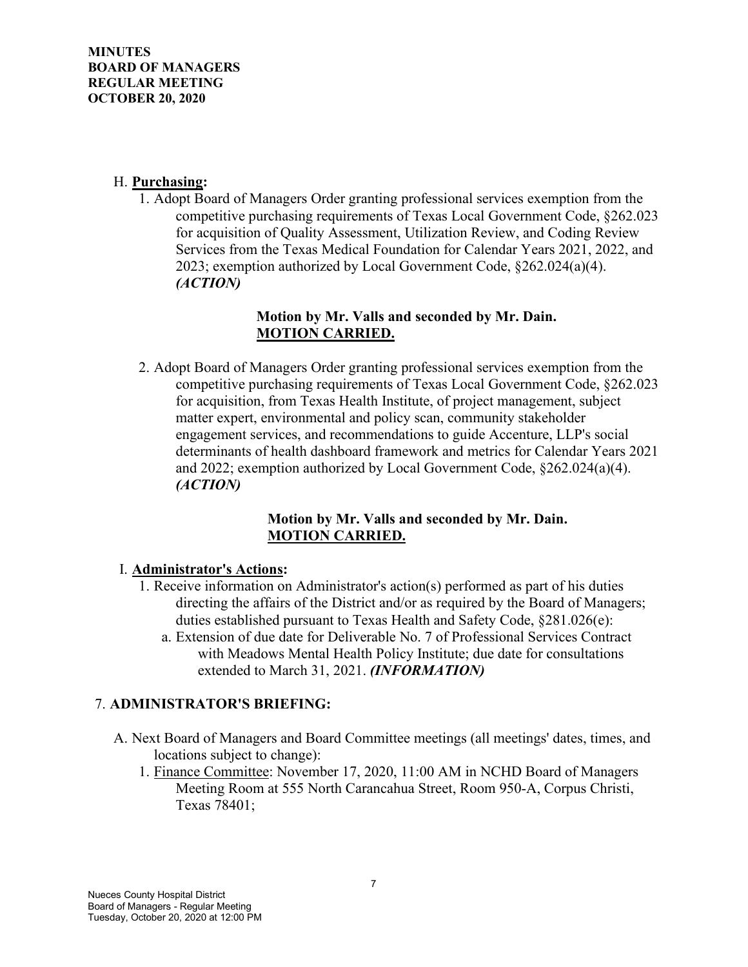### H. **Purchasing:**

1. Adopt Board of Managers Order granting professional services exemption from the competitive purchasing requirements of Texas Local Government Code, §262.023 for acquisition of Quality Assessment, Utilization Review, and Coding Review Services from the Texas Medical Foundation for Calendar Years 2021, 2022, and 2023; exemption authorized by Local Government Code, §262.024(a)(4). *(ACTION)*

### **Motion by Mr. Valls and seconded by Mr. Dain. MOTION CARRIED.**

2. Adopt Board of Managers Order granting professional services exemption from the competitive purchasing requirements of Texas Local Government Code, §262.023 for acquisition, from Texas Health Institute, of project management, subject matter expert, environmental and policy scan, community stakeholder engagement services, and recommendations to guide Accenture, LLP's social determinants of health dashboard framework and metrics for Calendar Years 2021 and 2022; exemption authorized by Local Government Code, §262.024(a)(4). *(ACTION)*

## **Motion by Mr. Valls and seconded by Mr. Dain. MOTION CARRIED.**

## I. **Administrator's Actions:**

- 1. Receive information on Administrator's action(s) performed as part of his duties directing the affairs of the District and/or as required by the Board of Managers; duties established pursuant to Texas Health and Safety Code, §281.026(e):
	- a. Extension of due date for Deliverable No. 7 of Professional Services Contract with Meadows Mental Health Policy Institute; due date for consultations extended to March 31, 2021. *(INFORMATION)*

## 7. **ADMINISTRATOR'S BRIEFING:**

- A. Next Board of Managers and Board Committee meetings (all meetings' dates, times, and locations subject to change):
	- 1. Finance Committee: November 17, 2020, 11:00 AM in NCHD Board of Managers Meeting Room at 555 North Carancahua Street, Room 950-A, Corpus Christi, Texas 78401;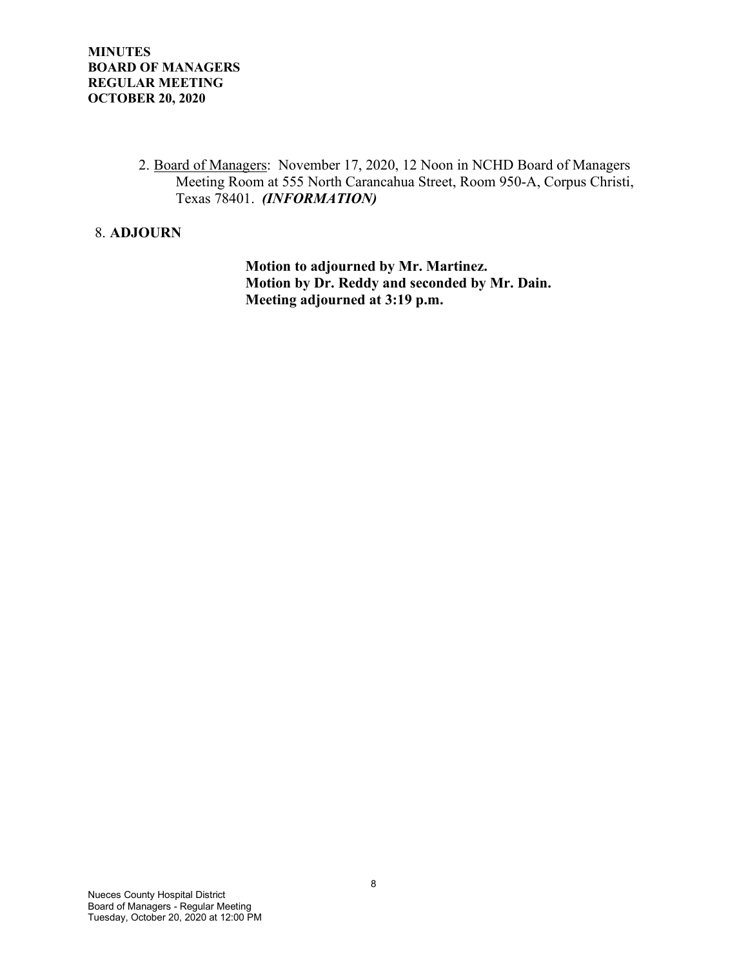2. Board of Managers: November 17, 2020, 12 Noon in NCHD Board of Managers Meeting Room at 555 North Carancahua Street, Room 950-A, Corpus Christi, Texas 78401. *(INFORMATION)*

### 8. **ADJOURN**

 **Motion to adjourned by Mr. Martinez. Motion by Dr. Reddy and seconded by Mr. Dain. Meeting adjourned at 3:19 p.m.**